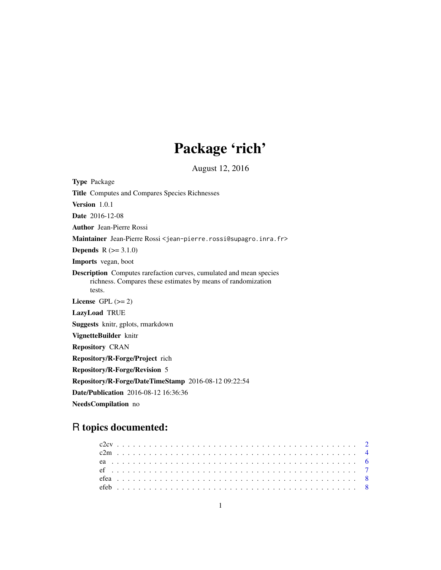# Package 'rich'

August 12, 2016

Type Package Title Computes and Compares Species Richnesses Version 1.0.1 Date 2016-12-08 Author Jean-Pierre Rossi Maintainer Jean-Pierre Rossi <jean-pierre.rossi@supagro.inra.fr> **Depends**  $R (= 3.1.0)$ Imports vegan, boot Description Computes rarefaction curves, cumulated and mean species richness. Compares these estimates by means of randomization tests. License GPL  $(>= 2)$ LazyLoad TRUE Suggests knitr, gplots, rmarkdown VignetteBuilder knitr Repository CRAN Repository/R-Forge/Project rich Repository/R-Forge/Revision 5 Repository/R-Forge/DateTimeStamp 2016-08-12 09:22:54 Date/Publication 2016-08-12 16:36:36 NeedsCompilation no

# R topics documented: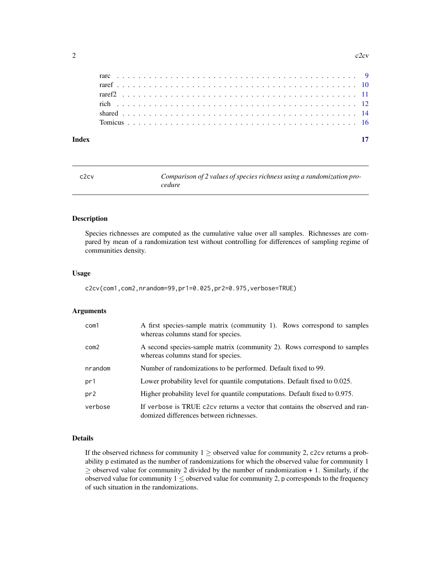<span id="page-1-0"></span>

| Index |  |  |  |  |  |  |  |  |  |  |  |  |  |  |  |  |  |  |  |  |
|-------|--|--|--|--|--|--|--|--|--|--|--|--|--|--|--|--|--|--|--|--|
|       |  |  |  |  |  |  |  |  |  |  |  |  |  |  |  |  |  |  |  |  |
|       |  |  |  |  |  |  |  |  |  |  |  |  |  |  |  |  |  |  |  |  |
|       |  |  |  |  |  |  |  |  |  |  |  |  |  |  |  |  |  |  |  |  |
|       |  |  |  |  |  |  |  |  |  |  |  |  |  |  |  |  |  |  |  |  |
|       |  |  |  |  |  |  |  |  |  |  |  |  |  |  |  |  |  |  |  |  |
|       |  |  |  |  |  |  |  |  |  |  |  |  |  |  |  |  |  |  |  |  |

<span id="page-1-1"></span>

| c <sub>2</sub> cv | Comparison of 2 values of species richness using a randomization pro- |
|-------------------|-----------------------------------------------------------------------|
|                   | cedure                                                                |

### Description

Species richnesses are computed as the cumulative value over all samples. Richnesses are compared by mean of a randomization test without controlling for differences of sampling regime of communities density.

#### Usage

```
c2cv(com1,com2,nrandom=99,pr1=0.025,pr2=0.975,verbose=TRUE)
```
# Arguments

| com1            | A first species-sample matrix (community 1). Rows correspond to samples<br>whereas columns stand for species.           |
|-----------------|-------------------------------------------------------------------------------------------------------------------------|
| com2            | A second species-sample matrix (community 2). Rows correspond to samples<br>whereas columns stand for species.          |
| nrandom         | Number of randomizations to be performed. Default fixed to 99.                                                          |
| pr1             | Lower probability level for quantile computations. Default fixed to 0.025.                                              |
| pr <sub>2</sub> | Higher probability level for quantile computations. Default fixed to 0.975.                                             |
| verbose         | If verbose is TRUE c2cv returns a vector that contains the observed and ran-<br>domized differences between richnesses. |

# Details

If the observed richness for community  $1 \geq$  observed value for community 2, c2cv returns a probability p estimated as the number of randomizations for which the observed value for community 1  $\geq$  observed value for community 2 divided by the number of randomization + 1. Similarly, if the observed value for community  $1 \leq$  observed value for community 2, p corresponds to the frequency of such situation in the randomizations.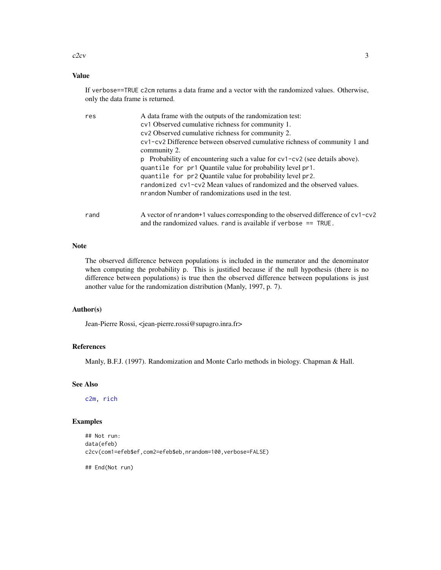#### <span id="page-2-0"></span> $c2cv$  3

# Value

If verbose==TRUE c2cm returns a data frame and a vector with the randomized values. Otherwise, only the data frame is returned.

| res  | A data frame with the outputs of the randomization test:<br>cv1 Observed cumulative richness for community 1.<br>cv2 Observed cumulative richness for community 2.<br>cv1-cv2 Difference between observed cumulative richness of community 1 and<br>community 2.<br>p Probability of encountering such a value for $cv1 - cv2$ (see details above).<br>quantile for pr1 Quantile value for probability level pr1.<br>quantile for pr2 Quantile value for probability level pr2.<br>randomized cy1-cy2 Mean values of randomized and the observed values.<br>nrandom Number of randomizations used in the test. |
|------|----------------------------------------------------------------------------------------------------------------------------------------------------------------------------------------------------------------------------------------------------------------------------------------------------------------------------------------------------------------------------------------------------------------------------------------------------------------------------------------------------------------------------------------------------------------------------------------------------------------|
| rand | A vector of nrandom+1 values corresponding to the observed difference of $cv1$ -cv2<br>and the randomized values. rand is available if verbose $==$ TRUE.                                                                                                                                                                                                                                                                                                                                                                                                                                                      |

# Note

The observed difference between populations is included in the numerator and the denominator when computing the probability p. This is justified because if the null hypothesis (there is no difference between populations) is true then the observed difference between populations is just another value for the randomization distribution (Manly, 1997, p. 7).

# Author(s)

Jean-Pierre Rossi, <jean-pierre.rossi@supagro.inra.fr>

#### References

Manly, B.F.J. (1997). Randomization and Monte Carlo methods in biology. Chapman & Hall.

#### See Also

[c2m,](#page-3-1) [rich](#page-11-1)

#### Examples

```
## Not run:
data(efeb)
c2cv(com1=efeb$ef,com2=efeb$eb,nrandom=100,verbose=FALSE)
```
## End(Not run)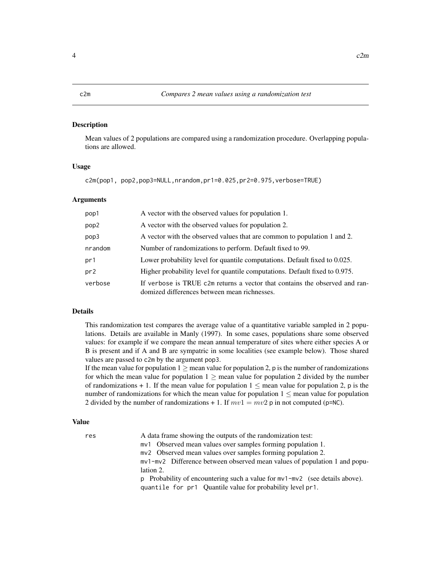#### <span id="page-3-1"></span><span id="page-3-0"></span>Description

Mean values of 2 populations are compared using a randomization procedure. Overlapping populations are allowed.

#### Usage

c2m(pop1, pop2,pop3=NULL,nrandom,pr1=0.025,pr2=0.975,verbose=TRUE)

# Arguments

| pop1    | A vector with the observed values for population 1.                                                                         |
|---------|-----------------------------------------------------------------------------------------------------------------------------|
| pop2    | A vector with the observed values for population 2.                                                                         |
| pop3    | A vector with the observed values that are common to population 1 and 2.                                                    |
| nrandom | Number of randomizations to perform. Default fixed to 99.                                                                   |
| pr1     | Lower probability level for quantile computations. Default fixed to 0.025.                                                  |
| pr2     | Higher probability level for quantile computations. Default fixed to 0.975.                                                 |
| verbose | If verbose is TRUE c2m returns a vector that contains the observed and ran-<br>domized differences between mean richnesses. |

# Details

This randomization test compares the average value of a quantitative variable sampled in 2 populations. Details are available in Manly (1997). In some cases, populations share some observed values: for example if we compare the mean annual temperature of sites where either species A or B is present and if A and B are sympatric in some localities (see example below). Those shared values are passed to c2m by the argument pop3.

If the mean value for population  $1 \ge$  mean value for population 2, p is the number of randomizations for which the mean value for population  $1 \ge$  mean value for population 2 divided by the number of randomizations  $+ 1$ . If the mean value for population  $1 \le$  mean value for population 2, p is the number of randomizations for which the mean value for population  $1 \le$  mean value for population 2 divided by the number of randomizations + 1. If  $mv1 = mv2$  p in not computed (p=NC).

#### Value

| res | A data frame showing the outputs of the randomization test:                     |
|-----|---------------------------------------------------------------------------------|
|     | mv1 Observed mean values over samples forming population 1.                     |
|     | mv2 Observed mean values over samples forming population 2.                     |
|     | mv1-mv2 Difference between observed mean values of population 1 and popu-       |
|     | lation 2.                                                                       |
|     | p Probability of encountering such a value for $mv1 - mv2$ (see details above). |
|     | quantile for pr1 Quantile value for probability level pr1.                      |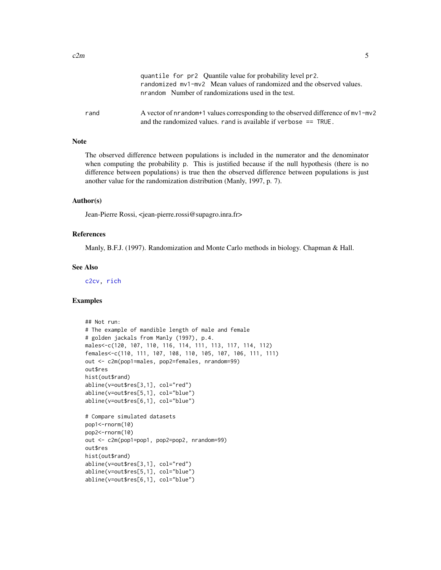<span id="page-4-0"></span>

|      | quantile for pr2 Quantile value for probability level pr2.<br>randomized my1-my2 Mean values of randomized and the observed values.<br>nrandom Number of randomizations used in the test. |
|------|-------------------------------------------------------------------------------------------------------------------------------------------------------------------------------------------|
| rand | A vector of nrandom+1 values corresponding to the observed difference of $mv1-mv2$<br>and the randomized values, rand is available if verbose $==$ TRUE.                                  |

#### Note

The observed difference between populations is included in the numerator and the denominator when computing the probability p. This is justified because if the null hypothesis (there is no difference between populations) is true then the observed difference between populations is just another value for the randomization distribution (Manly, 1997, p. 7).

#### Author(s)

Jean-Pierre Rossi, <jean-pierre.rossi@supagro.inra.fr>

# References

Manly, B.F.J. (1997). Randomization and Monte Carlo methods in biology. Chapman & Hall.

#### See Also

[c2cv,](#page-1-1) [rich](#page-11-1)

```
## Not run:
# The example of mandible length of male and female
# golden jackals from Manly (1997), p.4.
males<-c(120, 107, 110, 116, 114, 111, 113, 117, 114, 112)
females<-c(110, 111, 107, 108, 110, 105, 107, 106, 111, 111)
out <- c2m(pop1=males, pop2=females, nrandom=99)
out$res
hist(out$rand)
abline(v=out$res[3,1], col="red")
abline(v=out$res[5,1], col="blue")
abline(v=out$res[6,1], col="blue")
# Compare simulated datasets
pop1<-rnorm(10)
pop2<-rnorm(10)
out <- c2m(pop1=pop1, pop2=pop2, nrandom=99)
out$res
hist(out$rand)
abline(v=out$res[3,1], col="red")
abline(v=out$res[5,1], col="blue")
abline(v=out$res[6,1], col="blue")
```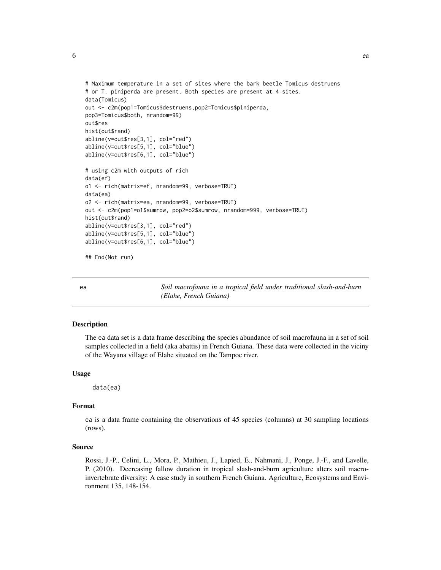<span id="page-5-0"></span>

```
# Maximum temperature in a set of sites where the bark beetle Tomicus destruens
# or T. piniperda are present. Both species are present at 4 sites.
data(Tomicus)
out <- c2m(pop1=Tomicus$destruens,pop2=Tomicus$piniperda,
pop3=Tomicus$both, nrandom=99)
out$res
hist(out$rand)
abline(v=out$res[3,1], col="red")
abline(v=out$res[5,1], col="blue")
abline(v=out$res[6,1], col="blue")
# using c2m with outputs of rich
data(ef)
o1 <- rich(matrix=ef, nrandom=99, verbose=TRUE)
data(ea)
o2 <- rich(matrix=ea, nrandom=99, verbose=TRUE)
out <- c2m(pop1=o1$sumrow, pop2=o2$sumrow, nrandom=999, verbose=TRUE)
hist(out$rand)
abline(v=out$res[3,1], col="red")
abline(v=out$res[5,1], col="blue")
abline(v=out$res[6,1], col="blue")
## End(Not run)
```
ea *Soil macrofauna in a tropical field under traditional slash-and-burn (Elahe, French Guiana)*

# Description

The ea data set is a data frame describing the species abundance of soil macrofauna in a set of soil samples collected in a field (aka abattis) in French Guiana. These data were collected in the viciny of the Wayana village of Elahe situated on the Tampoc river.

#### Usage

data(ea)

#### Format

ea is a data frame containing the observations of 45 species (columns) at 30 sampling locations (rows).

#### Source

Rossi, J.-P., Celini, L., Mora, P., Mathieu, J., Lapied, E., Nahmani, J., Ponge, J.-F., and Lavelle, P. (2010). Decreasing fallow duration in tropical slash-and-burn agriculture alters soil macroinvertebrate diversity: A case study in southern French Guiana. Agriculture, Ecosystems and Environment 135, 148-154.

 $\epsilon$  6 each  $\epsilon$  each  $\epsilon$  each  $\epsilon$  each  $\epsilon$  each  $\epsilon$  each  $\epsilon$  each  $\epsilon$  each  $\epsilon$  each  $\epsilon$  each  $\epsilon$  each  $\epsilon$  each  $\epsilon$  each  $\epsilon$  each  $\epsilon$  each  $\epsilon$  each  $\epsilon$  each  $\epsilon$  each  $\epsilon$  each  $\epsilon$  each  $\epsilon$  each  $\epsilon$  each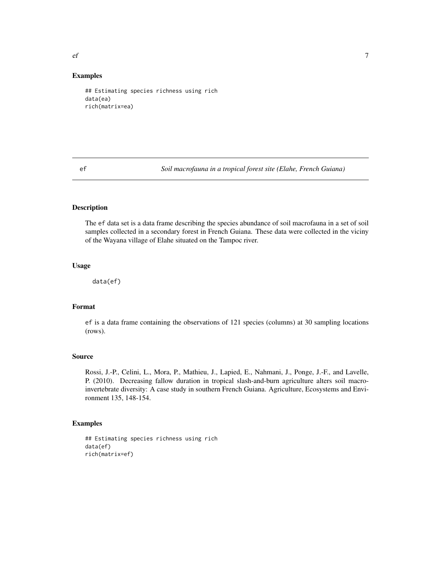<span id="page-6-0"></span> $\epsilon$  f and  $\epsilon$  7

#### Examples

```
## Estimating species richness using rich
data(ea)
rich(matrix=ea)
```
ef *Soil macrofauna in a tropical forest site (Elahe, French Guiana)*

# Description

The ef data set is a data frame describing the species abundance of soil macrofauna in a set of soil samples collected in a secondary forest in French Guiana. These data were collected in the viciny of the Wayana village of Elahe situated on the Tampoc river.

#### Usage

data(ef)

# Format

ef is a data frame containing the observations of 121 species (columns) at 30 sampling locations (rows).

#### Source

Rossi, J.-P., Celini, L., Mora, P., Mathieu, J., Lapied, E., Nahmani, J., Ponge, J.-F., and Lavelle, P. (2010). Decreasing fallow duration in tropical slash-and-burn agriculture alters soil macroinvertebrate diversity: A case study in southern French Guiana. Agriculture, Ecosystems and Environment 135, 148-154.

```
## Estimating species richness using rich
data(ef)
rich(matrix=ef)
```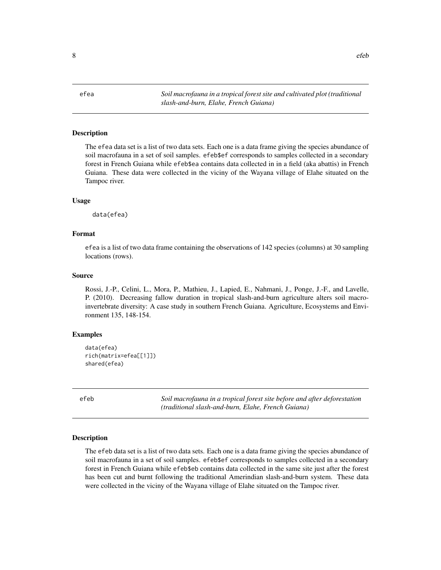<span id="page-7-0"></span>efea *Soil macrofauna in a tropical forest site and cultivated plot (traditional slash-and-burn, Elahe, French Guiana)*

#### Description

The efea data set is a list of two data sets. Each one is a data frame giving the species abundance of soil macrofauna in a set of soil samples. efeb\$ef corresponds to samples collected in a secondary forest in French Guiana while efeb\$ea contains data collected in in a field (aka abattis) in French Guiana. These data were collected in the viciny of the Wayana village of Elahe situated on the Tampoc river.

#### Usage

data(efea)

# Format

efea is a list of two data frame containing the observations of 142 species (columns) at 30 sampling locations (rows).

#### Source

Rossi, J.-P., Celini, L., Mora, P., Mathieu, J., Lapied, E., Nahmani, J., Ponge, J.-F., and Lavelle, P. (2010). Decreasing fallow duration in tropical slash-and-burn agriculture alters soil macroinvertebrate diversity: A case study in southern French Guiana. Agriculture, Ecosystems and Environment 135, 148-154.

#### Examples

```
data(efea)
rich(matrix=efea[[1]])
shared(efea)
```
efeb *Soil macrofauna in a tropical forest site before and after deforestation (traditional slash-and-burn, Elahe, French Guiana)*

#### **Description**

The efeb data set is a list of two data sets. Each one is a data frame giving the species abundance of soil macrofauna in a set of soil samples. efeb\$ef corresponds to samples collected in a secondary forest in French Guiana while efeb\$eb contains data collected in the same site just after the forest has been cut and burnt following the traditional Amerindian slash-and-burn system. These data were collected in the viciny of the Wayana village of Elahe situated on the Tampoc river.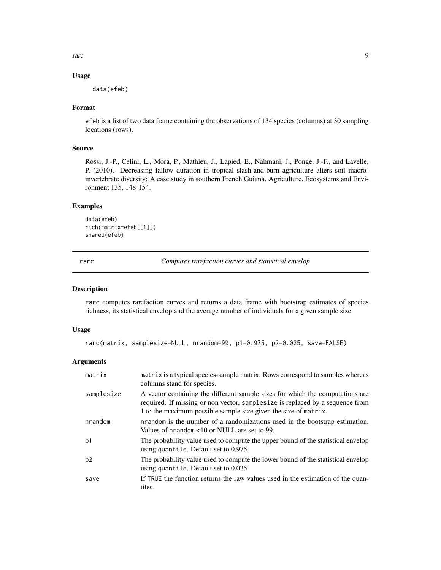<span id="page-8-0"></span>rarc 9

#### Usage

data(efeb)

# Format

efeb is a list of two data frame containing the observations of 134 species (columns) at 30 sampling locations (rows).

#### Source

Rossi, J.-P., Celini, L., Mora, P., Mathieu, J., Lapied, E., Nahmani, J., Ponge, J.-F., and Lavelle, P. (2010). Decreasing fallow duration in tropical slash-and-burn agriculture alters soil macroinvertebrate diversity: A case study in southern French Guiana. Agriculture, Ecosystems and Environment 135, 148-154.

# Examples

```
data(efeb)
rich(matrix=efeb[[1]])
shared(efeb)
```
<span id="page-8-1"></span>rarc *Computes rarefaction curves and statistical envelop*

#### Description

rarc computes rarefaction curves and returns a data frame with bootstrap estimates of species richness, its statistical envelop and the average number of individuals for a given sample size.

# Usage

```
rarc(matrix, samplesize=NULL, nrandom=99, p1=0.975, p2=0.025, save=FALSE)
```
## Arguments

| matrix         | matrix is a typical species-sample matrix. Rows correspond to samples whereas<br>columns stand for species.                                                                                                                       |
|----------------|-----------------------------------------------------------------------------------------------------------------------------------------------------------------------------------------------------------------------------------|
| samplesize     | A vector containing the different sample sizes for which the computations are<br>required. If missing or non vector, samplesize is replaced by a sequence from<br>1 to the maximum possible sample size given the size of matrix. |
| nrandom        | nrandom is the number of a randomizations used in the bootstrap estimation.<br>Values of $n$ random $\lt 10$ or NULL are set to 99.                                                                                               |
| p1             | The probability value used to compute the upper bound of the statistical envelop<br>using quantile. Default set to 0.975.                                                                                                         |
| p <sub>2</sub> | The probability value used to compute the lower bound of the statistical envelop<br>using quantile. Default set to 0.025.                                                                                                         |
| save           | If TRUE the function returns the raw values used in the estimation of the quan-<br>tiles.                                                                                                                                         |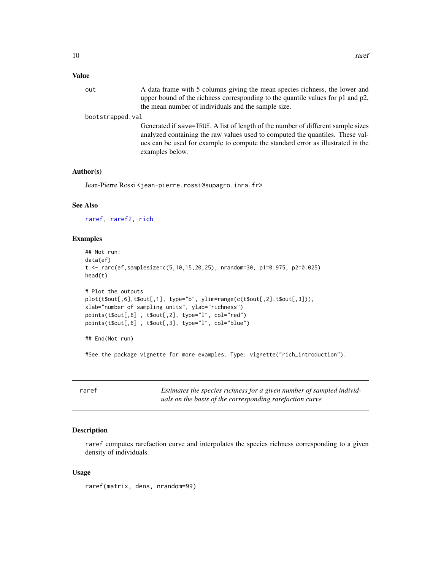#### <span id="page-9-0"></span>Value

out A data frame with 5 columns giving the mean species richness, the lower and upper bound of the richness corresponding to the quantile values for p1 and p2, the mean number of individuals and the sample size.

#### bootstrapped.val

Generated if save=TRUE. A list of length of the number of different sample sizes analyzed containing the raw values used to computed the quantiles. These values can be used for example to compute the standard error as illustrated in the examples below.

#### Author(s)

Jean-Pierre Rossi <jean-pierre.rossi@supagro.inra.fr>

#### See Also

[raref,](#page-9-1) [raref2,](#page-10-1) [rich](#page-11-1)

#### Examples

```
## Not run:
data(ef)
t <- rarc(ef,samplesize=c(5,10,15,20,25), nrandom=30, p1=0.975, p2=0.025)
head(t)
# Plot the outputs
plot(t$out[,6],t$out[,1], type="b", ylim=range(c(t$out[,2],t$out[,3])),
xlab="number of sampling units", ylab="richness")
points(t$out[,6] , t$out[,2], type="l", col="red")
points(t$out[,6] , t$out[,3], type="l", col="blue")
## End(Not run)
```
#See the package vignette for more examples. Type: vignette("rich\_introduction").

<span id="page-9-1"></span>raref *Estimates the species richness for a given number of sampled individuals on the basis of the corresponding rarefaction curve*

#### Description

raref computes rarefaction curve and interpolates the species richness corresponding to a given density of individuals.

#### Usage

raref(matrix, dens, nrandom=99)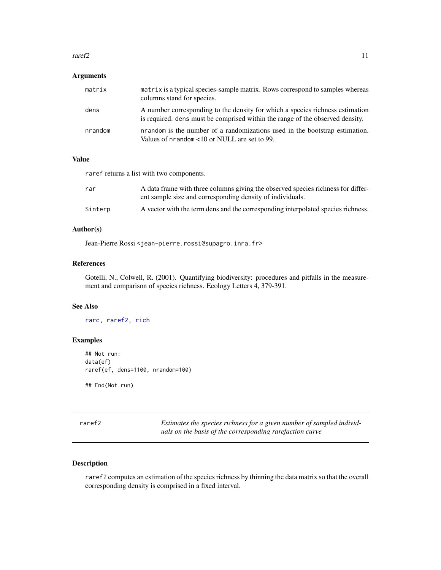#### <span id="page-10-0"></span> $r = 11$

### Arguments

| matrix  | matrix is a typical species-sample matrix. Rows correspond to samples whereas<br>columns stand for species.                                                    |
|---------|----------------------------------------------------------------------------------------------------------------------------------------------------------------|
| dens    | A number corresponding to the density for which a species richness estimation<br>is required, dens must be comprised within the range of the observed density. |
| nrandom | nrandom is the number of a randomizations used in the bootstrap estimation.<br>Values of nrandom $\langle 10 \text{ or } \text{NULL}$ are set to 99.           |

#### Value

raref returns a list with two components.

| rar     | A data frame with three columns giving the observed species richness for differ-<br>ent sample size and corresponding density of individuals. |
|---------|-----------------------------------------------------------------------------------------------------------------------------------------------|
| Sinterp | A vector with the term dens and the corresponding interpolated species richness.                                                              |

# Author(s)

Jean-Pierre Rossi <jean-pierre.rossi@supagro.inra.fr>

#### References

Gotelli, N., Colwell, R. (2001). Quantifying biodiversity: procedures and pitfalls in the measurement and comparison of species richness. Ecology Letters 4, 379-391.

# See Also

[rarc,](#page-8-1) [raref2,](#page-10-1) [rich](#page-11-1)

# Examples

```
## Not run:
data(ef)
raref(ef, dens=1100, nrandom=100)
```
## End(Not run)

<span id="page-10-1"></span>

Estimates the species richness for a given number of sampled individ*uals on the basis of the corresponding rarefaction curve*

# Description

raref2 computes an estimation of the species richness by thinning the data matrix so that the overall corresponding density is comprised in a fixed interval.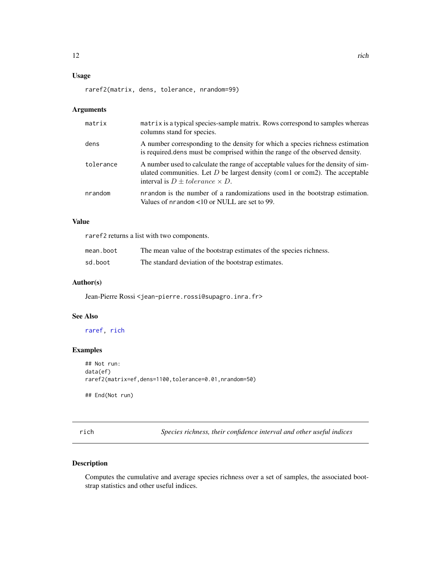# <span id="page-11-0"></span>Usage

raref2(matrix, dens, tolerance, nrandom=99)

# Arguments

| matrix    | matrix is a typical species-sample matrix. Rows correspond to samples whereas<br>columns stand for species.                                                                                                    |
|-----------|----------------------------------------------------------------------------------------------------------------------------------------------------------------------------------------------------------------|
| dens      | A number corresponding to the density for which a species richness estimation<br>is required dense must be comprised within the range of the observed density.                                                 |
| tolerance | A number used to calculate the range of acceptable values for the density of sim-<br>ulated communities. Let $D$ be largest density (com1 or com2). The acceptable<br>interval is $D \pm tolerance \times D$ . |
| nrandom   | nrandom is the number of a randomizations used in the bootstrap estimation.<br>Values of $n$ random $\leq 10$ or NULL are set to 99.                                                                           |

# Value

raref2 returns a list with two components.

| mean.boot | The mean value of the bootstrap estimates of the species richness. |
|-----------|--------------------------------------------------------------------|
| sd.boot   | The standard deviation of the bootstrap estimates.                 |

# Author(s)

Jean-Pierre Rossi <jean-pierre.rossi@supagro.inra.fr>

# See Also

[raref,](#page-9-1) [rich](#page-11-1)

# Examples

```
## Not run:
data(ef)
raref2(matrix=ef,dens=1100,tolerance=0.01,nrandom=50)
```
## End(Not run)

<span id="page-11-1"></span>rich *Species richness, their confidence interval and other useful indices*

# Description

Computes the cumulative and average species richness over a set of samples, the associated bootstrap statistics and other useful indices.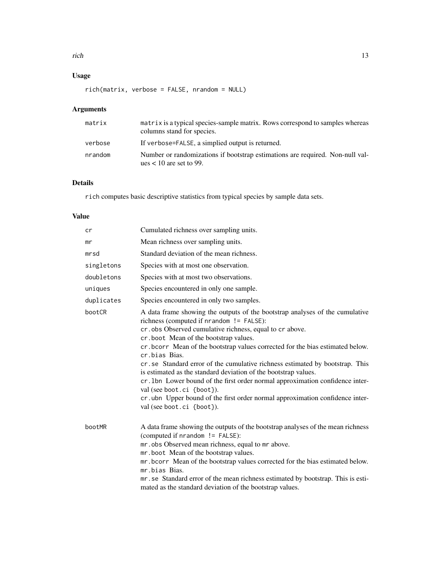# Usage

rich(matrix, verbose = FALSE, nrandom = NULL)

# Arguments

| matrix  | matrix is a typical species-sample matrix. Rows correspond to samples whereas<br>columns stand for species. |
|---------|-------------------------------------------------------------------------------------------------------------|
| verbose | If verbose=FALSE, a simplied output is returned.                                                            |
| nrandom | Number or randomizations if bootstrap estimations are required. Non-null val-<br>ues $< 10$ are set to 99.  |

# Details

rich computes basic descriptive statistics from typical species by sample data sets.

# Value

| cr         | Cumulated richness over sampling units.                                                                                                                                                                                                                                                                                                                                                                                                                                                                                                                                                                                                                                                                          |
|------------|------------------------------------------------------------------------------------------------------------------------------------------------------------------------------------------------------------------------------------------------------------------------------------------------------------------------------------------------------------------------------------------------------------------------------------------------------------------------------------------------------------------------------------------------------------------------------------------------------------------------------------------------------------------------------------------------------------------|
| mr         | Mean richness over sampling units.                                                                                                                                                                                                                                                                                                                                                                                                                                                                                                                                                                                                                                                                               |
| mrsd       | Standard deviation of the mean richness.                                                                                                                                                                                                                                                                                                                                                                                                                                                                                                                                                                                                                                                                         |
| singletons | Species with at most one observation.                                                                                                                                                                                                                                                                                                                                                                                                                                                                                                                                                                                                                                                                            |
| doubletons | Species with at most two observations.                                                                                                                                                                                                                                                                                                                                                                                                                                                                                                                                                                                                                                                                           |
| uniques    | Species encountered in only one sample.                                                                                                                                                                                                                                                                                                                                                                                                                                                                                                                                                                                                                                                                          |
| duplicates | Species encountered in only two samples.                                                                                                                                                                                                                                                                                                                                                                                                                                                                                                                                                                                                                                                                         |
| bootCR     | A data frame showing the outputs of the bootstrap analyses of the cumulative<br>richness (computed if nrandom != FALSE):<br>cr. obs Observed cumulative richness, equal to cr above.<br>cr.boot Mean of the bootstrap values.<br>cr. bcorr Mean of the bootstrap values corrected for the bias estimated below.<br>cr.bias Bias.<br>cr. se Standard error of the cumulative richness estimated by bootstrap. This<br>is estimated as the standard deviation of the bootstrap values.<br>cr. 1bn Lower bound of the first order normal approximation confidence inter-<br>val (see boot.ci {boot}).<br>cr. ubn Upper bound of the first order normal approximation confidence inter-<br>val (see boot.ci {boot}). |
| bootMR     | A data frame showing the outputs of the bootstrap analyses of the mean richness<br>(computed if nrandom != FALSE):<br>mr.obs Observed mean richness, equal to mr above.<br>mr.boot Mean of the bootstrap values.<br>mr. bcorr Mean of the bootstrap values corrected for the bias estimated below.<br>mr.bias Bias.<br>mr. se Standard error of the mean richness estimated by bootstrap. This is esti-<br>mated as the standard deviation of the bootstrap values.                                                                                                                                                                                                                                              |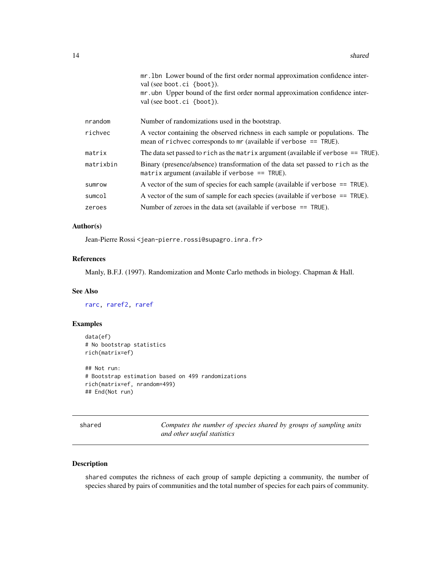<span id="page-13-0"></span>

|           | mr. 1bn Lower bound of the first order normal approximation confidence inter-<br>val (see boot.ci {boot}).                                          |
|-----------|-----------------------------------------------------------------------------------------------------------------------------------------------------|
|           | mr.ubn Upper bound of the first order normal approximation confidence inter-<br>val (see boot.ci {boot}).                                           |
| nrandom   | Number of randomizations used in the bootstrap.                                                                                                     |
| richvec   | A vector containing the observed richness in each sample or populations. The<br>mean of richvec corresponds to $mr$ (available if verbose == TRUE). |
| matrix    | The data set passed to rich as the matrix argument (available if verbose $==$ TRUE).                                                                |
| matrixbin | Binary (presence/absence) transformation of the data set passed to rich as the<br>matrix argument (available if verbose $==$ TRUE).                 |
| sumrow    | A vector of the sum of species for each sample (available if verbose $==$ TRUE).                                                                    |
| sumcol    | A vector of the sum of sample for each species (available if verbose $==$ TRUE).                                                                    |
| zeroes    | Number of zeroes in the data set (available if verbose $==$ TRUE).                                                                                  |
|           |                                                                                                                                                     |

# Author(s)

Jean-Pierre Rossi <jean-pierre.rossi@supagro.inra.fr>

#### References

Manly, B.F.J. (1997). Randomization and Monte Carlo methods in biology. Chapman & Hall.

# See Also

[rarc,](#page-8-1) [raref2,](#page-10-1) [raref](#page-9-1)

# Examples

```
data(ef)
# No bootstrap statistics
rich(matrix=ef)
## Not run:
# Bootstrap estimation based on 499 randomizations
rich(matrix=ef, nrandom=499)
```
## End(Not run)

shared *Computes the number of species shared by groups of sampling units and other useful statistics*

# Description

shared computes the richness of each group of sample depicting a community, the number of species shared by pairs of communities and the total number of species for each pairs of community.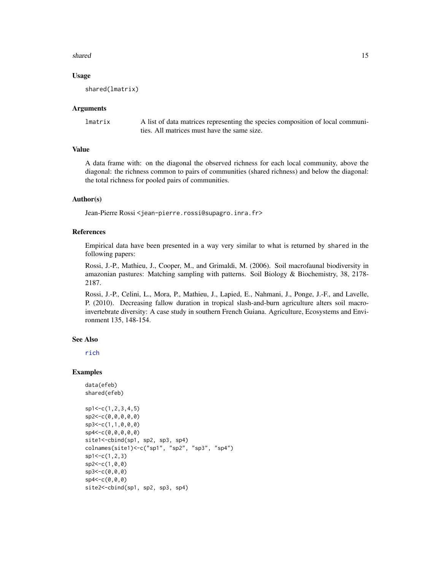#### <span id="page-14-0"></span>shared the state of the state of the state of the state of the state of the state of the state of the state of the state of the state of the state of the state of the state of the state of the state of the state of the sta

#### Usage

shared(lmatrix)

#### Arguments

lmatrix A list of data matrices representing the species composition of local communities. All matrices must have the same size.

# Value

A data frame with: on the diagonal the observed richness for each local community, above the diagonal: the richness common to pairs of communities (shared richness) and below the diagonal: the total richness for pooled pairs of communities.

#### Author(s)

Jean-Pierre Rossi <jean-pierre.rossi@supagro.inra.fr>

#### References

Empirical data have been presented in a way very similar to what is returned by shared in the following papers:

Rossi, J.-P., Mathieu, J., Cooper, M., and Grimaldi, M. (2006). Soil macrofaunal biodiversity in amazonian pastures: Matching sampling with patterns. Soil Biology & Biochemistry, 38, 2178- 2187.

Rossi, J.-P., Celini, L., Mora, P., Mathieu, J., Lapied, E., Nahmani, J., Ponge, J.-F., and Lavelle, P. (2010). Decreasing fallow duration in tropical slash-and-burn agriculture alters soil macroinvertebrate diversity: A case study in southern French Guiana. Agriculture, Ecosystems and Environment 135, 148-154.

#### See Also

[rich](#page-11-1)

```
data(efeb)
shared(efeb)
sp1<-c(1,2,3,4,5)sp2<-c(0,0,0,0,0)
sp3<-c(1,1,0,0,0)
sp4<-c(0,0,0,0,0)
site1<-cbind(sp1, sp2, sp3, sp4)
colnames(site1)<-c("sp1", "sp2", "sp3", "sp4")
sp1<-c(1,2,3)sp2<-c(1,0,0)
sp3<-c(0,0,0)
sp4<-c(0,0,0)
site2<-cbind(sp1, sp2, sp3, sp4)
```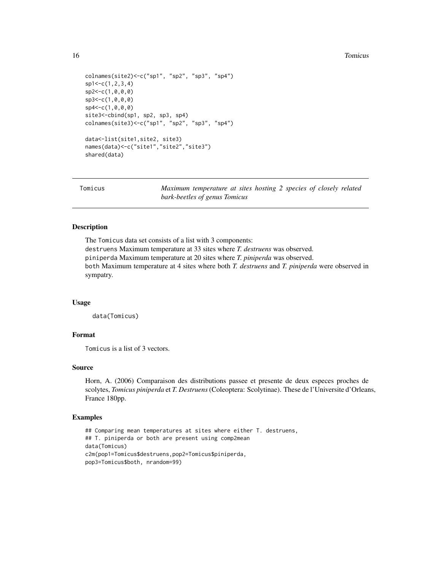#### <span id="page-15-0"></span>16 **Tomicus 16** Tomicus **16** Tomicus **16** Tomicus **16** Tomicus **16** Tomicus **16** Tomicus **16** Tomicus **16** Tomicus **16** Integrate **16** Integral **16** Integral **16** Integral **16** Integral **16** Integral **16** Integral **16** I

```
colnames(site2)<-c("sp1", "sp2", "sp3", "sp4")
sp1<-c(1,2,3,4)sp2<-c(1,0,0,0)
sp3<-c(1,0,0,0)
sp4<-c(1,0,0,0)
site3<-cbind(sp1, sp2, sp3, sp4)
colnames(site3)<-c("sp1", "sp2", "sp3", "sp4")
data<-list(site1,site2, site3)
names(data)<-c("site1","site2","site3")
shared(data)
```
Tomicus *Maximum temperature at sites hosting 2 species of closely related bark-beetles of genus Tomicus*

#### Description

The Tomicus data set consists of a list with 3 components: destruens Maximum temperature at 33 sites where *T. destruens* was observed. piniperda Maximum temperature at 20 sites where *T. piniperda* was observed. both Maximum temperature at 4 sites where both *T. destruens* and *T. piniperda* were observed in sympatry.

#### Usage

data(Tomicus)

# Format

Tomicus is a list of 3 vectors.

# Source

Horn, A. (2006) Comparaison des distributions passee et presente de deux especes proches de scolytes, *Tomicus piniperda* et *T. Destruens*(Coleoptera: Scolytinae). These de l'Universite d'Orleans, France 180pp.

```
## Comparing mean temperatures at sites where either T. destruens,
## T. piniperda or both are present using comp2mean
data(Tomicus)
c2m(pop1=Tomicus$destruens,pop2=Tomicus$piniperda,
pop3=Tomicus$both, nrandom=99)
```